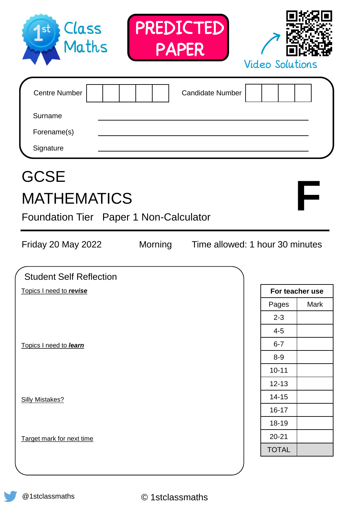| Class<br>Maths<br>st                                                        | PREDICTED<br>PAPER |                                 | <b>Video Solutions</b>    |      |
|-----------------------------------------------------------------------------|--------------------|---------------------------------|---------------------------|------|
| <b>Centre Number</b><br>Surname<br>Forename(s)<br>Signature                 |                    | <b>Candidate Number</b>         |                           |      |
| <b>GCSE</b><br><b>MATHEMATICS</b><br>Foundation Tier Paper 1 Non-Calculator |                    |                                 |                           |      |
| Friday 20 May 2022                                                          | Morning            | Time allowed: 1 hour 30 minutes |                           |      |
|                                                                             |                    |                                 |                           |      |
| <b>Student Self Reflection</b>                                              |                    |                                 |                           |      |
| Topics I need to revise                                                     |                    |                                 | For teacher use           | Mark |
|                                                                             |                    |                                 | Pages<br>$2 - 3$          |      |
|                                                                             |                    |                                 | $4 - 5$                   |      |
| Topics I need to learn                                                      |                    |                                 | $6 - 7$                   |      |
|                                                                             |                    |                                 | $8-9$                     |      |
|                                                                             |                    |                                 | $10 - 11$                 |      |
|                                                                             |                    |                                 | $12 - 13$                 |      |
| <b>Silly Mistakes?</b>                                                      |                    |                                 | $14 - 15$                 |      |
|                                                                             |                    |                                 | $16 - 17$                 |      |
|                                                                             |                    |                                 | 18-19                     |      |
| Target mark for next time                                                   |                    |                                 | $20 - 21$<br><b>TOTAL</b> |      |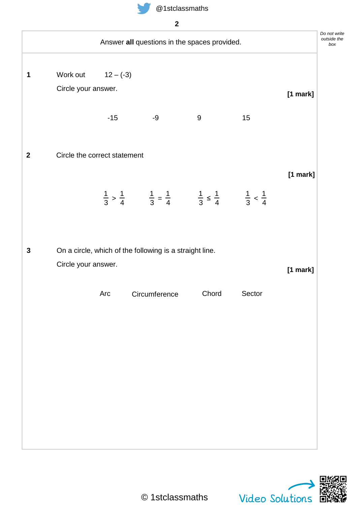

| Answer all questions in the spaces provided.            |                                                                                                                   |       |        |            |  |
|---------------------------------------------------------|-------------------------------------------------------------------------------------------------------------------|-------|--------|------------|--|
| Work out $12 - (-3)$                                    |                                                                                                                   |       |        |            |  |
| Circle your answer.                                     |                                                                                                                   |       |        | [1 mark]   |  |
| $-15$                                                   | -9                                                                                                                | 9     | 15     |            |  |
| Circle the correct statement                            |                                                                                                                   |       |        |            |  |
|                                                         | $\frac{1}{3} > \frac{1}{4}$ $\frac{1}{3} = \frac{1}{4}$ $\frac{1}{3} \le \frac{1}{4}$ $\frac{1}{3} < \frac{1}{4}$ |       |        | $[1$ mark] |  |
|                                                         |                                                                                                                   |       |        |            |  |
| On a circle, which of the following is a straight line. |                                                                                                                   |       |        |            |  |
| Circle your answer.                                     |                                                                                                                   |       |        | [1 mark]   |  |
| Arc                                                     | Circumference                                                                                                     | Chord | Sector |            |  |
|                                                         |                                                                                                                   |       |        |            |  |
|                                                         |                                                                                                                   |       |        |            |  |
|                                                         |                                                                                                                   |       |        |            |  |
|                                                         |                                                                                                                   |       |        |            |  |
|                                                         |                                                                                                                   |       |        |            |  |
|                                                         |                                                                                                                   |       |        |            |  |
|                                                         |                                                                                                                   |       |        |            |  |



*write*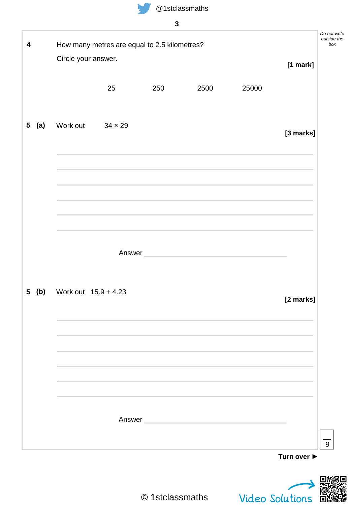| 4                     |                            | How many metres are equal to 2.5 kilometres? |     |        |       |            | Do not write<br>outside the<br>box |
|-----------------------|----------------------------|----------------------------------------------|-----|--------|-------|------------|------------------------------------|
|                       | Circle your answer.        |                                              |     |        |       | $[1$ mark] |                                    |
|                       |                            |                                              |     |        |       |            |                                    |
|                       |                            | 25                                           | 250 | 2500   | 25000 |            |                                    |
|                       |                            |                                              |     |        |       |            |                                    |
| (a)<br>5 <sub>5</sub> | Work out                   | $34 \times 29$                               |     |        |       | [3 marks]  |                                    |
|                       |                            |                                              |     |        |       |            |                                    |
|                       |                            |                                              |     |        |       |            |                                    |
|                       |                            |                                              |     |        |       |            |                                    |
|                       |                            |                                              |     |        |       |            |                                    |
|                       |                            |                                              |     |        |       |            |                                    |
|                       |                            |                                              |     |        |       |            |                                    |
|                       |                            |                                              |     | Answer |       |            |                                    |
|                       |                            |                                              |     |        |       |            |                                    |
| 5 <sup>5</sup>        | (b) Work out $15.9 + 4.23$ |                                              |     |        |       |            |                                    |
|                       |                            |                                              |     |        |       | [2 marks]  |                                    |
|                       |                            |                                              |     |        |       |            |                                    |
|                       |                            |                                              |     |        |       |            |                                    |
|                       |                            |                                              |     |        |       |            |                                    |
|                       |                            |                                              |     |        |       |            |                                    |
|                       |                            |                                              |     |        |       |            |                                    |
|                       |                            |                                              |     |        |       |            |                                    |
|                       |                            |                                              |     | Answer |       |            |                                    |
|                       |                            |                                              |     |        |       |            |                                    |

Video Solutions

l T

飈

п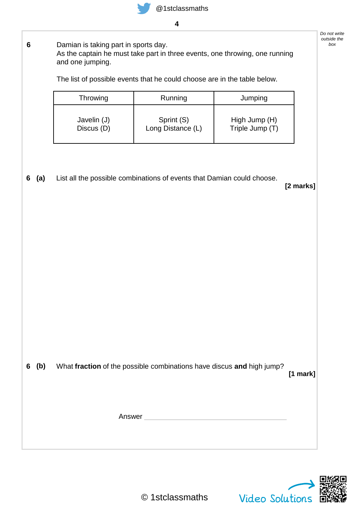

**6** Damian is taking part in sports day. As the captain he must take part in three events, one throwing, one running and one jumping.

The list of possible events that he could choose are in the table below.

| Throwing    | Running           | Jumping         |
|-------------|-------------------|-----------------|
| Javelin (J) | Sprint (S)        | High Jump (H)   |
| Discus (D)  | Long Distance (L) | Triple Jump (T) |

List all the possible combinations of events that Damian could choose. **(a)**

**[2 marks]**

*Do not write outside the*

**6 (b)** What **fraction** of the possible combinations have discus **and** high jump?

**[1 mark]**

Answer

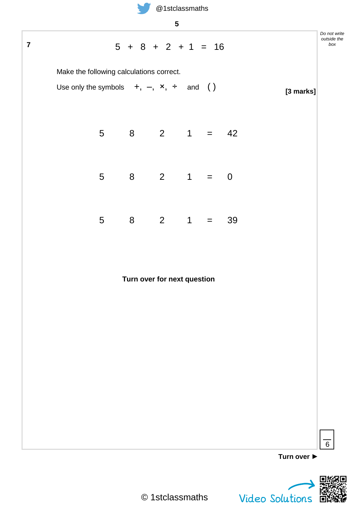

| Ō.<br>۰.<br>v     |  |
|-------------------|--|
| I<br>I<br>×<br>۰. |  |

|                         |                                             |                 |                      | $\sqrt{5}$                  |                |     |             |           |                                    |
|-------------------------|---------------------------------------------|-----------------|----------------------|-----------------------------|----------------|-----|-------------|-----------|------------------------------------|
| $\overline{\mathbf{7}}$ |                                             |                 | $5 + 8 + 2 + 1 = 16$ |                             |                |     |             |           | Do not write<br>outside the<br>box |
|                         | Make the following calculations correct.    |                 |                      |                             |                |     |             |           |                                    |
|                         | Use only the symbols $+, -, x, \div$ and () |                 |                      |                             |                |     |             | [3 marks] |                                    |
|                         |                                             | 5 <sup>5</sup>  | $8 \t2 \t1 = 42$     |                             |                |     |             |           |                                    |
|                         |                                             | 5               | $8 -$                |                             | $2 \qquad 1 =$ |     | $\mathbf 0$ |           |                                    |
|                         |                                             | $5\phantom{.0}$ | 8 <sup>8</sup>       | $2 \qquad 1$                |                | $=$ | 39          |           |                                    |
|                         |                                             |                 |                      | Turn over for next question |                |     |             |           |                                    |
|                         |                                             |                 |                      |                             |                |     |             |           |                                    |
|                         |                                             |                 |                      |                             |                |     |             |           |                                    |

**Turn over ►**



6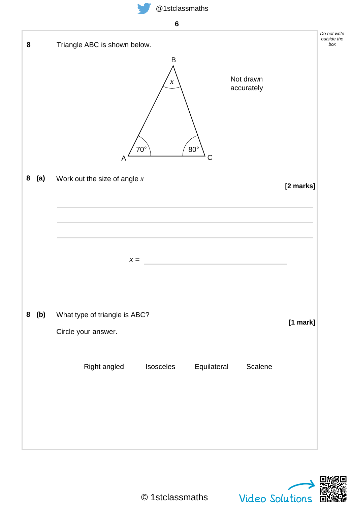**6**



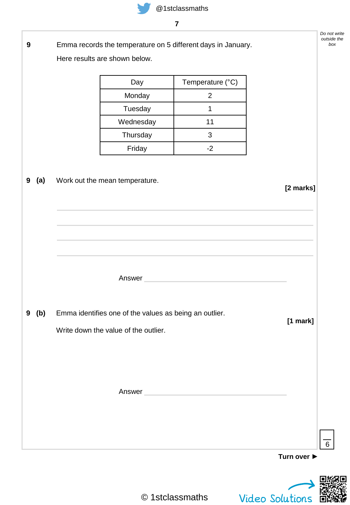

| __ |
|----|
|    |
|    |
|    |

| $\boldsymbol{9}$ |         | Here results are shown below.                                                                  | Emma records the temperature on 5 different days in January.                                                   |             | Do not write<br>outside the<br>box |
|------------------|---------|------------------------------------------------------------------------------------------------|----------------------------------------------------------------------------------------------------------------|-------------|------------------------------------|
|                  |         | Day                                                                                            | Temperature (°C)                                                                                               |             |                                    |
|                  |         | Monday                                                                                         | $\overline{2}$                                                                                                 |             |                                    |
|                  |         | Tuesday                                                                                        | 1                                                                                                              |             |                                    |
|                  |         | Wednesday                                                                                      | 11                                                                                                             |             |                                    |
|                  |         | Thursday                                                                                       | 3                                                                                                              |             |                                    |
|                  |         | Friday                                                                                         | $-2$                                                                                                           |             |                                    |
| 9                | (a)     | Work out the mean temperature.                                                                 |                                                                                                                | [2 marks]   |                                    |
|                  |         | Answer                                                                                         | the control of the control of the control of                                                                   |             |                                    |
|                  | $9$ (b) | Emma identifies one of the values as being an outlier.<br>Write down the value of the outlier. |                                                                                                                | [1 mark]    |                                    |
|                  |         |                                                                                                | Answer and the contract of the contract of the contract of the contract of the contract of the contract of the |             |                                    |
|                  |         |                                                                                                |                                                                                                                | Turn over ▶ | $6\phantom{1}$                     |

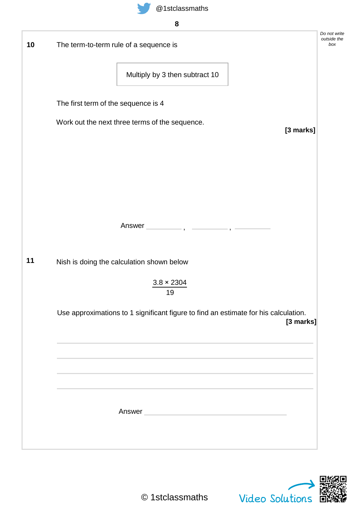

| ĉ             |
|---------------|
| ×<br>M.<br>۰, |

| 10 | The term-to-term rule of a sequence is                                                                                  | Do not write<br>outside the<br>box |
|----|-------------------------------------------------------------------------------------------------------------------------|------------------------------------|
|    | Multiply by 3 then subtract 10                                                                                          |                                    |
|    | The first term of the sequence is 4                                                                                     |                                    |
|    | Work out the next three terms of the sequence.<br>[3 marks]                                                             |                                    |
|    |                                                                                                                         |                                    |
|    |                                                                                                                         |                                    |
|    |                                                                                                                         |                                    |
|    |                                                                                                                         |                                    |
| 11 | Nish is doing the calculation shown below                                                                               |                                    |
|    | $3.8 \times 2304$<br>19                                                                                                 |                                    |
|    | Use approximations to 1 significant figure to find an estimate for his calculation.<br>[3 marks]                        |                                    |
|    |                                                                                                                         |                                    |
|    |                                                                                                                         |                                    |
|    |                                                                                                                         |                                    |
|    | Answer <b>Executive Community</b> and the community of the community of the community of the community of the community |                                    |
|    |                                                                                                                         |                                    |

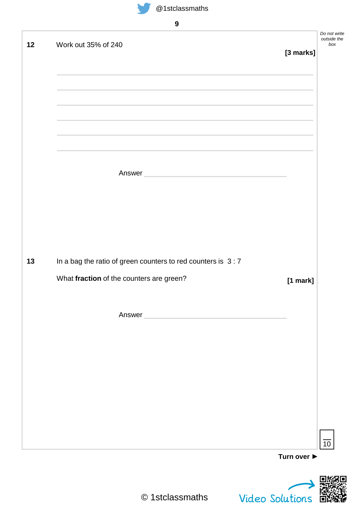

| $\boldsymbol{9}$                                            | Do not write                    |
|-------------------------------------------------------------|---------------------------------|
| Work out 35% of 240                                         | outside the<br>[3 marks]        |
|                                                             |                                 |
|                                                             |                                 |
|                                                             |                                 |
| Answer <b>Experience Answer</b>                             |                                 |
|                                                             |                                 |
| In a bag the ratio of green counters to red counters is 3:7 |                                 |
| What fraction of the counters are green?                    | [1 mark]                        |
| Answer                                                      |                                 |
|                                                             |                                 |
|                                                             |                                 |
|                                                             |                                 |
|                                                             |                                 |
|                                                             | Turn over $\blacktriangleright$ |

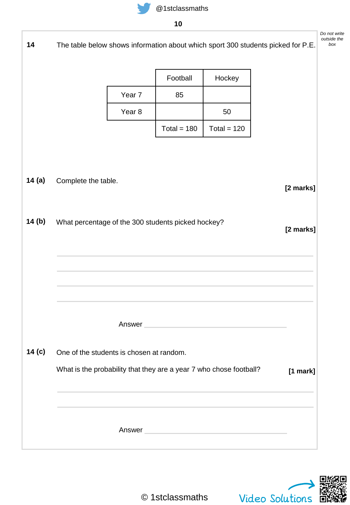| 14       |                                                    |                   |               |                                                                                                                                                                                                                               | The table below shows information about which sport 300 students picked for P.E. | Do not write<br>outside the<br>box |
|----------|----------------------------------------------------|-------------------|---------------|-------------------------------------------------------------------------------------------------------------------------------------------------------------------------------------------------------------------------------|----------------------------------------------------------------------------------|------------------------------------|
|          |                                                    |                   | Football      | Hockey                                                                                                                                                                                                                        |                                                                                  |                                    |
|          |                                                    | Year 7            | 85            |                                                                                                                                                                                                                               |                                                                                  |                                    |
|          |                                                    | Year <sub>8</sub> |               | 50                                                                                                                                                                                                                            |                                                                                  |                                    |
|          |                                                    |                   | Total = $180$ | Total = $120$                                                                                                                                                                                                                 |                                                                                  |                                    |
| 14 $(a)$ | Complete the table.                                |                   |               |                                                                                                                                                                                                                               | [2 marks]                                                                        |                                    |
| 14(b)    | What percentage of the 300 students picked hockey? |                   |               |                                                                                                                                                                                                                               | [2 marks]                                                                        |                                    |
|          |                                                    |                   |               | Answer                                                                                                                                                                                                                        |                                                                                  |                                    |
| 14 (c)   | One of the students is chosen at random.           |                   |               |                                                                                                                                                                                                                               |                                                                                  |                                    |
|          |                                                    |                   |               | What is the probability that they are a year 7 who chose football?                                                                                                                                                            | [1 mark]                                                                         |                                    |
|          |                                                    |                   |               | the control of the control of the control of the control of the control of the control of the control of the control of the control of the control of the control of the control of the control of the control of the control |                                                                                  |                                    |

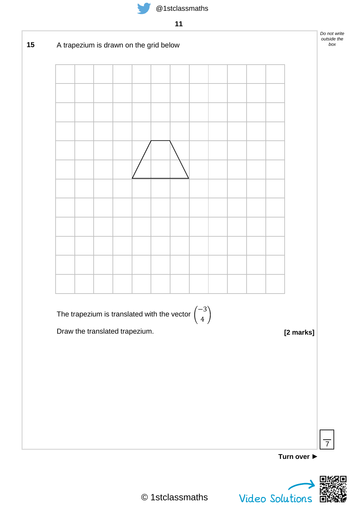



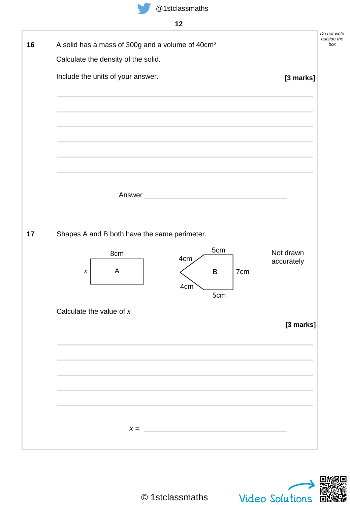| A solid has a mass of 300g and a volume of 40cm <sup>3</sup> | Calculate the density of the solid.          |                                                                            |         |     |            |
|--------------------------------------------------------------|----------------------------------------------|----------------------------------------------------------------------------|---------|-----|------------|
|                                                              |                                              |                                                                            |         |     |            |
|                                                              | Include the units of your answer.            |                                                                            |         |     | [3 marks]  |
|                                                              |                                              |                                                                            |         |     |            |
|                                                              |                                              |                                                                            |         |     |            |
|                                                              |                                              |                                                                            |         |     |            |
|                                                              |                                              |                                                                            |         |     |            |
|                                                              |                                              |                                                                            |         |     |            |
|                                                              |                                              |                                                                            |         |     |            |
|                                                              |                                              |                                                                            |         |     |            |
|                                                              | Answer                                       | <u> 1990 - Jan James James Barbara, politik eta politikaria (h. 1901).</u> |         |     |            |
|                                                              |                                              |                                                                            |         |     |            |
|                                                              |                                              |                                                                            |         |     |            |
|                                                              |                                              |                                                                            |         |     |            |
|                                                              | Shapes A and B both have the same perimeter. |                                                                            |         |     |            |
|                                                              | 8cm                                          |                                                                            | 5cm     |     | Not drawn  |
|                                                              |                                              | 4 <sub>cm</sub>                                                            |         |     | accurately |
|                                                              | A<br>$\boldsymbol{\chi}$                     |                                                                            | $\sf B$ | 7cm |            |
|                                                              |                                              | 4cm                                                                        | 5cm     |     |            |
|                                                              | Calculate the value of $x$                   |                                                                            |         |     |            |
|                                                              |                                              |                                                                            |         |     | [3 marks]  |
|                                                              |                                              |                                                                            |         |     |            |
|                                                              |                                              |                                                                            |         |     |            |
|                                                              |                                              |                                                                            |         |     |            |
|                                                              |                                              |                                                                            |         |     |            |
|                                                              |                                              |                                                                            |         |     |            |
|                                                              |                                              |                                                                            |         |     |            |
|                                                              |                                              |                                                                            |         |     |            |

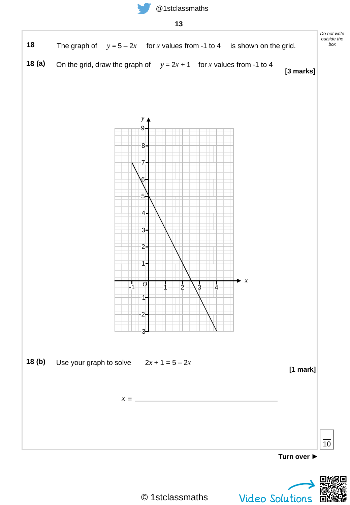



© 1stclassmaths

Video Solutions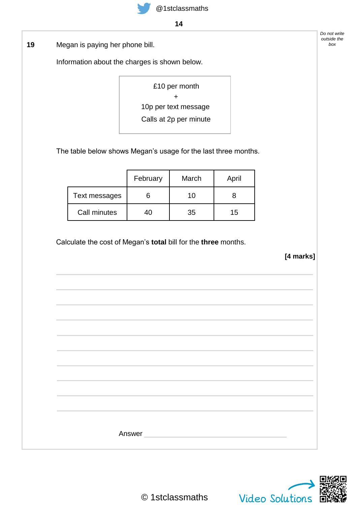

**14**

Megan is paying her phone bill. **19** *box*

Information about the charges is shown below.

£10 per month + 10p per text message Calls at 2p per minute

The table below shows Megan's usage for the last three months.

|               | February | March | April |
|---------------|----------|-------|-------|
| Text messages |          | 10    |       |
| Call minutes  | 10       | 35    | 15    |

Calculate the cost of Megan's **total** bill for the **three** months.

**[4 marks]**

*Do not write outside the*

| Answer |  |  |
|--------|--|--|
|        |  |  |

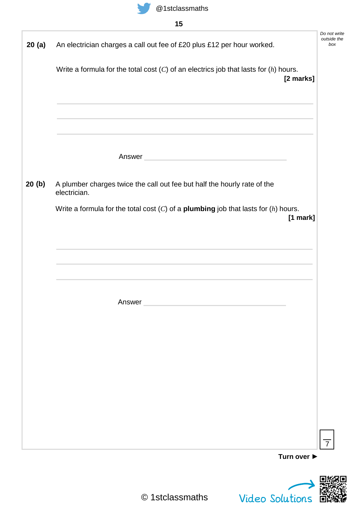

| 20(a) | An electrician charges a call out fee of £20 plus £12 per hour worked.                                                                                                                                                        | Do not write<br>outside the |
|-------|-------------------------------------------------------------------------------------------------------------------------------------------------------------------------------------------------------------------------------|-----------------------------|
|       | Write a formula for the total cost $(C)$ of an electrics job that lasts for $(h)$ hours.<br>[2 marks]                                                                                                                         |                             |
|       | <u> 1989 - Johann Stoff, amerikansk politiker (d. 1989)</u>                                                                                                                                                                   |                             |
|       | Answer <b>Executive Community</b> and the community of the community of the community of the community of the community                                                                                                       |                             |
| 20(b) | A plumber charges twice the call out fee but half the hourly rate of the<br>electrician.                                                                                                                                      |                             |
|       | Write a formula for the total cost $(C)$ of a <b>plumbing</b> job that lasts for $(h)$ hours.<br>$[1$ mark]                                                                                                                   |                             |
|       | the control of the control of the control of the control of the control of the control of the control of the control of the control of the control of the control of the control of the control of the control of the control |                             |
|       | Answer                                                                                                                                                                                                                        |                             |
|       |                                                                                                                                                                                                                               |                             |
|       |                                                                                                                                                                                                                               |                             |
|       |                                                                                                                                                                                                                               |                             |
|       |                                                                                                                                                                                                                               |                             |
|       |                                                                                                                                                                                                                               | $\overline{7}$              |
|       | Turn over $\blacktriangleright$                                                                                                                                                                                               |                             |

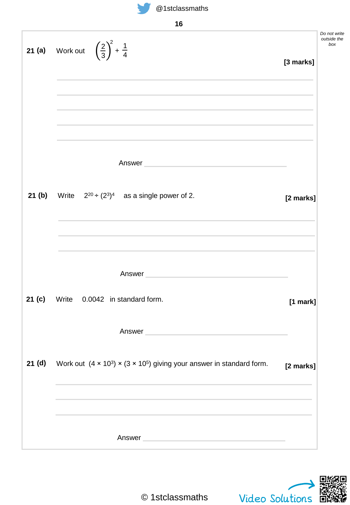| ۰.<br>٧<br>۰.<br>۰.<br>× |
|--------------------------|
|--------------------------|

|                   | 'V                                                                                                                                                                                                                            |            |                                    |
|-------------------|-------------------------------------------------------------------------------------------------------------------------------------------------------------------------------------------------------------------------------|------------|------------------------------------|
| 21(a)             | Work out $\left(\frac{2}{3}\right)^2 + \frac{1}{4}$                                                                                                                                                                           | [3 marks]  | Do not write<br>outside the<br>box |
|                   |                                                                                                                                                                                                                               |            |                                    |
|                   | Answer                                                                                                                                                                                                                        |            |                                    |
| 21(b)             | Write $2^{20} \div (2^3)^4$ as a single power of 2.                                                                                                                                                                           | [2 marks]  |                                    |
|                   | Answer and the contract of the contract of the contract of the contract of the contract of the contract of the                                                                                                                |            |                                    |
|                   | 21 (c) Write 0.0042 in standard form.                                                                                                                                                                                         | $[1$ mark] |                                    |
|                   | Answer                                                                                                                                                                                                                        |            |                                    |
| 21 <sub>(d)</sub> | Work out $(4 \times 10^3) \times (3 \times 10^5)$ giving your answer in standard form.                                                                                                                                        | [2 marks]  |                                    |
|                   | the control of the control of the control of the control of the control of the control of the control of the control of the control of the control of the control of the control of the control of the control of the control |            |                                    |
|                   |                                                                                                                                                                                                                               |            |                                    |
|                   | Answer <b>Experience Answer</b>                                                                                                                                                                                               |            |                                    |

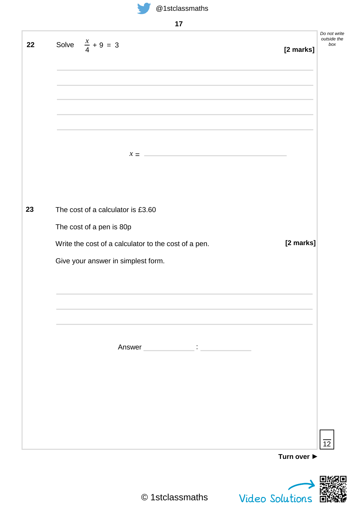

| _<br>۰. |  |
|---------|--|
|---------|--|

| Solve $\frac{x}{4} + 9 = 3$                                                                                                                                                                                                                                                                                                         | [2 marks] |
|-------------------------------------------------------------------------------------------------------------------------------------------------------------------------------------------------------------------------------------------------------------------------------------------------------------------------------------|-----------|
|                                                                                                                                                                                                                                                                                                                                     |           |
|                                                                                                                                                                                                                                                                                                                                     |           |
|                                                                                                                                                                                                                                                                                                                                     |           |
|                                                                                                                                                                                                                                                                                                                                     |           |
|                                                                                                                                                                                                                                                                                                                                     |           |
| $\mathcal{X} = \begin{bmatrix} 1 & 0 & 0 \\ 0 & 0 & 0 \\ 0 & 0 & 0 \\ 0 & 0 & 0 \\ 0 & 0 & 0 \\ 0 & 0 & 0 \\ 0 & 0 & 0 \\ 0 & 0 & 0 \\ 0 & 0 & 0 & 0 \\ 0 & 0 & 0 & 0 \\ 0 & 0 & 0 & 0 \\ 0 & 0 & 0 & 0 & 0 \\ 0 & 0 & 0 & 0 & 0 \\ 0 & 0 & 0 & 0 & 0 \\ 0 & 0 & 0 & 0 & 0 & 0 \\ 0 & 0 & 0 & 0 & 0 & 0 \\ 0 & 0 & 0 & 0 & 0 & 0 &$ |           |
|                                                                                                                                                                                                                                                                                                                                     |           |
|                                                                                                                                                                                                                                                                                                                                     |           |
| The cost of a calculator is £3.60                                                                                                                                                                                                                                                                                                   |           |
| The cost of a pen is 80p                                                                                                                                                                                                                                                                                                            |           |
| Write the cost of a calculator to the cost of a pen.                                                                                                                                                                                                                                                                                | [2 marks] |
| Give your answer in simplest form.                                                                                                                                                                                                                                                                                                  |           |
|                                                                                                                                                                                                                                                                                                                                     |           |
|                                                                                                                                                                                                                                                                                                                                     |           |
|                                                                                                                                                                                                                                                                                                                                     |           |
|                                                                                                                                                                                                                                                                                                                                     |           |
| Answer Party Communication Communication Communication Communication Communication Communication Communication                                                                                                                                                                                                                      |           |
|                                                                                                                                                                                                                                                                                                                                     |           |
|                                                                                                                                                                                                                                                                                                                                     |           |
|                                                                                                                                                                                                                                                                                                                                     |           |
|                                                                                                                                                                                                                                                                                                                                     |           |
|                                                                                                                                                                                                                                                                                                                                     |           |

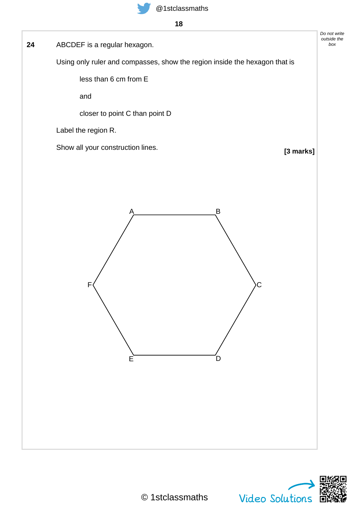ABCDEF is a regular hexagon. **24** *box*

Using only ruler and compasses, show the region inside the hexagon that is

less than 6 cm from E

and

closer to point C than point D

Label the region R.

Show all your construction lines.

**[3 marks]**

*Do not write outside the*



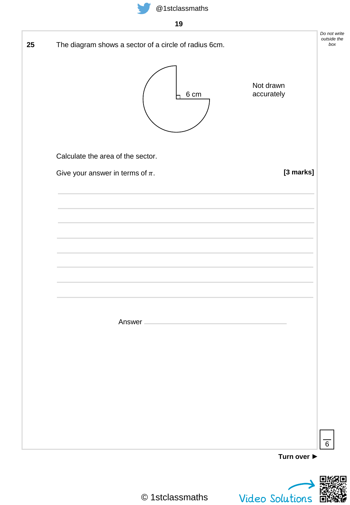

| The diagram shows a sector of a circle of radius 6cm. | Do not write<br>outside the<br>box                |
|-------------------------------------------------------|---------------------------------------------------|
| 6 cm                                                  | Not drawn<br>accurately                           |
| Calculate the area of the sector.                     |                                                   |
| Give your answer in terms of $\pi$ .                  | [3 marks]                                         |
|                                                       |                                                   |
|                                                       |                                                   |
|                                                       |                                                   |
|                                                       |                                                   |
|                                                       |                                                   |
|                                                       |                                                   |
| Answer -                                              |                                                   |
|                                                       |                                                   |
|                                                       |                                                   |
|                                                       |                                                   |
|                                                       |                                                   |
|                                                       |                                                   |
|                                                       | $\overline{6}$<br>Turn over $\blacktriangleright$ |

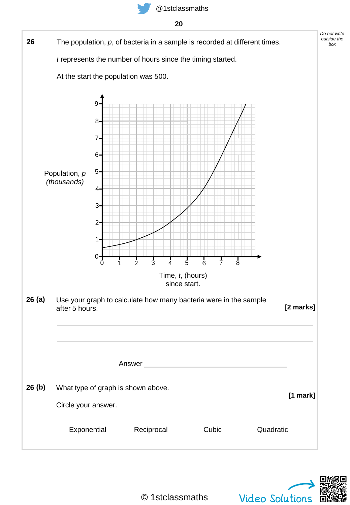